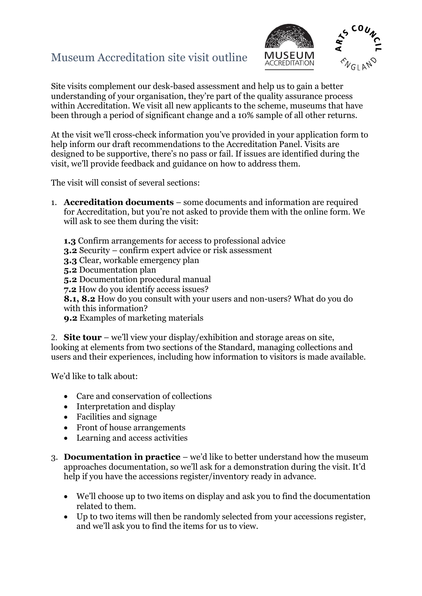## Museum Accreditation site visit outline



Site visits complement our desk-based assessment and help us to gain a better understanding of your organisation, they're part of the quality assurance process within Accreditation. We visit all new applicants to the scheme, museums that have been through a period of significant change and a 10% sample of all other returns.

At the visit we'll cross-check information you've provided in your application form to help inform our draft recommendations to the Accreditation Panel. Visits are designed to be supportive, there's no pass or fail. If issues are identified during the visit, we'll provide feedback and guidance on how to address them.

The visit will consist of several sections:

- 1. **Accreditation documents** some documents and information are required for Accreditation, but you're not asked to provide them with the online form. We will ask to see them during the visit:
	- **1.3** Confirm arrangements for access to professional advice
	- **3.2** Security confirm expert advice or risk assessment
	- **3.3** Clear, workable emergency plan
	- **5.2** Documentation plan
	- **5.2** Documentation procedural manual
	- **7.2** How do you identify access issues?
	- **8.1, 8.2** How do you consult with your users and non-users? What do you do with this information?
	- **9.2** Examples of marketing materials

2. **Site tour** – we'll view your display/exhibition and storage areas on site, looking at elements from two sections of the Standard, managing collections and users and their experiences, including how information to visitors is made available.

We'd like to talk about:

- Care and conservation of collections
- Interpretation and display
- Facilities and signage
- Front of house arrangements
- Learning and access activities
- 3. **Documentation in practice** we'd like to better understand how the museum approaches documentation, so we'll ask for a demonstration during the visit. It'd help if you have the accessions register/inventory ready in advance.
	- We'll choose up to two items on display and ask you to find the documentation related to them.
	- Up to two items will then be randomly selected from your accessions register, and we'll ask you to find the items for us to view.